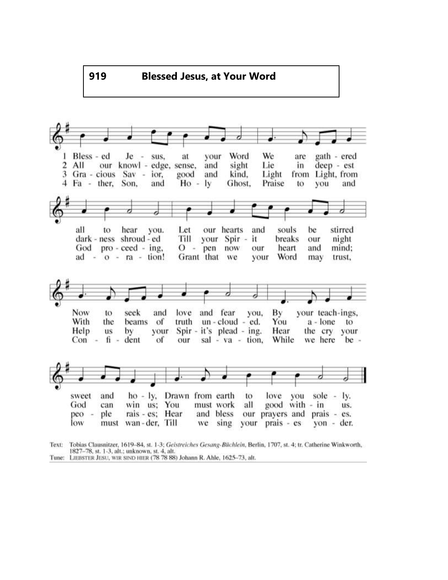

Tobias Clausnitzer, 1619-84, st. 1-3; Geistreiches Gesang-Büchlein, Berlin, 1707, st. 4; tr. Catherine Winkworth, Text: 1827-78, st. 1-3, alt.; unknown, st. 4, alt.

Tune: LIEBSTER JESU, WIR SIND HIER (78 78 88) Johann R. Ahle, 1625-73, alt.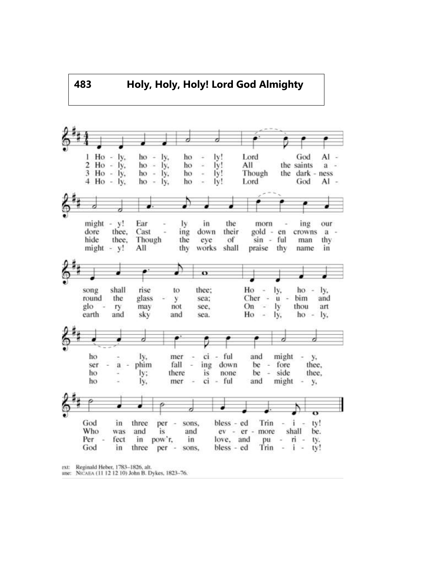

une: NICAEA (11 12 12 10) John B. Dykes, 1823-76.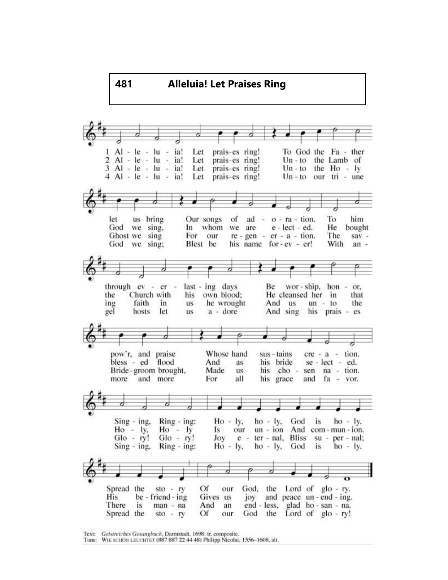

Text: Geistreiches Gesangbuch, Darmstadt, 1698; tr. composite.

Tune: WIE SCHON LEUCHTET (887 887 22 44 48) Philipp Nicolai, 1556-1608, alt.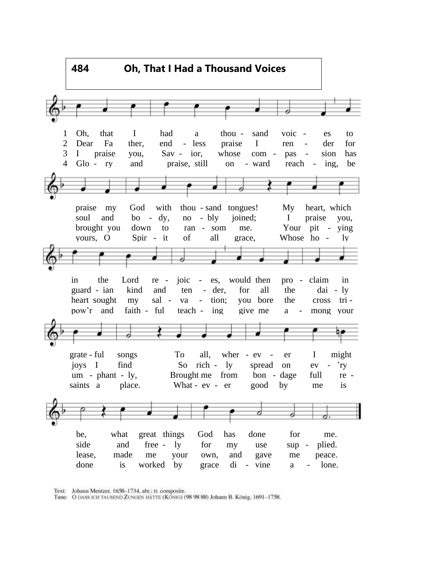

Text: Johann Mentzer, 1658-1734, abr.; tr. composite.

Tune: O DASS ICH TAUSEND ZUNGEN HÄTTE (KONIG) (98 98 88) Johann B. König, 1691-1758.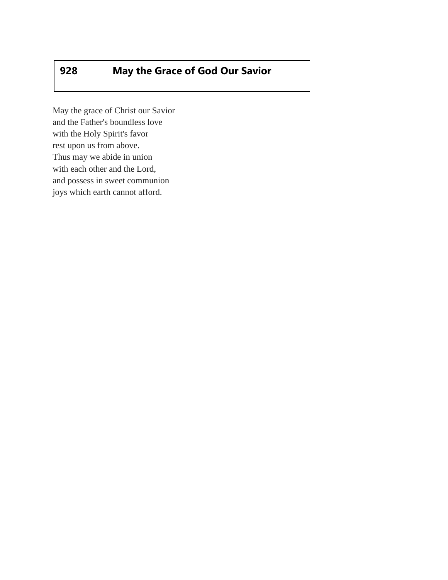## **928 May the Grace of God Our Savior**

May the grace of Christ our Savior and the Father's boundless love with the Holy Spirit's favor rest upon us from above. Thus may we abide in union with each other and the Lord, and possess in sweet communion joys which earth cannot afford.